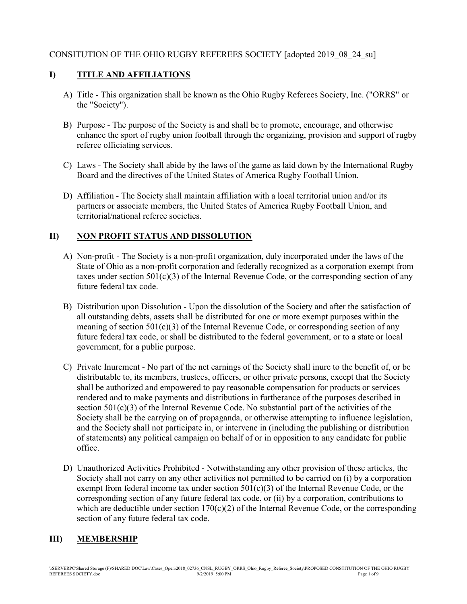## CONSITUTION OF THE OHIO RUGBY REFEREES SOCIETY [adopted 2019\_08\_24\_su]

# I) TITLE AND AFFILIATIONS

- A) Title This organization shall be known as the Ohio Rugby Referees Society, Inc. ("ORRS" or the "Society").
- B) Purpose The purpose of the Society is and shall be to promote, encourage, and otherwise enhance the sport of rugby union football through the organizing, provision and support of rugby referee officiating services.
- C) Laws The Society shall abide by the laws of the game as laid down by the International Rugby Board and the directives of the United States of America Rugby Football Union.
- D) Affiliation The Society shall maintain affiliation with a local territorial union and/or its partners or associate members, the United States of America Rugby Football Union, and territorial/national referee societies.

## II) NON PROFIT STATUS AND DISSOLUTION

- A) Non-profit The Society is a non-profit organization, duly incorporated under the laws of the State of Ohio as a non-profit corporation and federally recognized as a corporation exempt from taxes under section 501(c)(3) of the Internal Revenue Code, or the corresponding section of any future federal tax code.
- B) Distribution upon Dissolution Upon the dissolution of the Society and after the satisfaction of all outstanding debts, assets shall be distributed for one or more exempt purposes within the meaning of section 501(c)(3) of the Internal Revenue Code, or corresponding section of any future federal tax code, or shall be distributed to the federal government, or to a state or local government, for a public purpose.
- C) Private Inurement No part of the net earnings of the Society shall inure to the benefit of, or be distributable to, its members, trustees, officers, or other private persons, except that the Society shall be authorized and empowered to pay reasonable compensation for products or services rendered and to make payments and distributions in furtherance of the purposes described in section 501(c)(3) of the Internal Revenue Code. No substantial part of the activities of the Society shall be the carrying on of propaganda, or otherwise attempting to influence legislation, and the Society shall not participate in, or intervene in (including the publishing or distribution of statements) any political campaign on behalf of or in opposition to any candidate for public office.
- D) Unauthorized Activities Prohibited Notwithstanding any other provision of these articles, the Society shall not carry on any other activities not permitted to be carried on (i) by a corporation exempt from federal income tax under section 501(c)(3) of the Internal Revenue Code, or the corresponding section of any future federal tax code, or (ii) by a corporation, contributions to which are deductible under section  $170(c)(2)$  of the Internal Revenue Code, or the corresponding section of any future federal tax code.

# III) MEMBERSHIP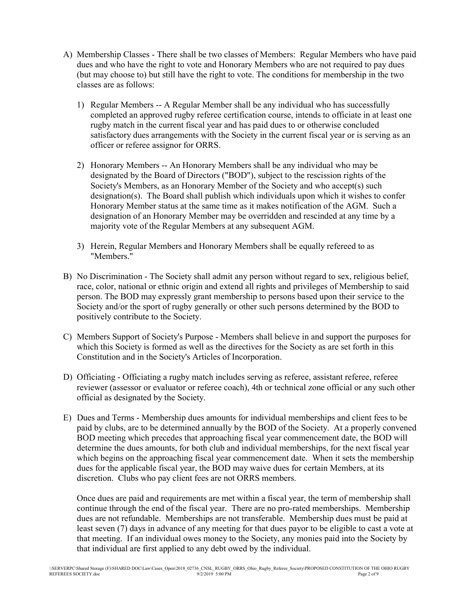- A) Membership Classes There shall be two classes of Members: Regular Members who have paid dues and who have the right to vote and Honorary Members who are not required to pay dues (but may choose to) but still have the right to vote. The conditions for membership in the two classes are as follows:
	- 1) Regular Members -- A Regular Member shall be any individual who has successfully completed an approved rugby referee certification course, intends to officiate in at least one rugby match in the current fiscal year and has paid dues to or otherwise concluded satisfactory dues arrangements with the Society in the current fiscal year or is serving as an officer or referee assignor for ORRS.
	- 2) Honorary Members -- An Honorary Members shall be any individual who may be designated by the Board of Directors ("BOD"), subject to the rescission rights of the Society's Members, as an Honorary Member of the Society and who accept(s) such designation(s). The Board shall publish which individuals upon which it wishes to confer Honorary Member status at the same time as it makes notification of the AGM. Such a designation of an Honorary Member may be overridden and rescinded at any time by a majority vote of the Regular Members at any subsequent AGM.
	- 3) Herein, Regular Members and Honorary Members shall be equally refereed to as "Members."
- B) No Discrimination The Society shall admit any person without regard to sex, religious belief, race, color, national or ethnic origin and extend all rights and privileges of Membership to said person. The BOD may expressly grant membership to persons based upon their service to the Society and/or the sport of rugby generally or other such persons determined by the BOD to positively contribute to the Society.
- C) Members Support of Society's Purpose Members shall believe in and support the purposes for which this Society is formed as well as the directives for the Society as are set forth in this Constitution and in the Society's Articles of Incorporation.
- D) Officiating Officiating a rugby match includes serving as referee, assistant referee, referee reviewer (assessor or evaluator or referee coach), 4th or technical zone official or any such other official as designated by the Society.
- E) Dues and Terms Membership dues amounts for individual memberships and client fees to be paid by clubs, are to be determined annually by the BOD of the Society. At a properly convened BOD meeting which precedes that approaching fiscal year commencement date, the BOD will determine the dues amounts, for both club and individual memberships, for the next fiscal year which begins on the approaching fiscal year commencement date. When it sets the membership dues for the applicable fiscal year, the BOD may waive dues for certain Members, at its discretion. Clubs who pay client fees are not ORRS members.

Once dues are paid and requirements are met within a fiscal year, the term of membership shall continue through the end of the fiscal year. There are no pro-rated memberships. Membership dues are not refundable. Memberships are not transferable. Membership dues must be paid at least seven (7) days in advance of any meeting for that dues payor to be eligible to cast a vote at that meeting. If an individual owes money to the Society, any monies paid into the Society by that individual are first applied to any debt owed by the individual.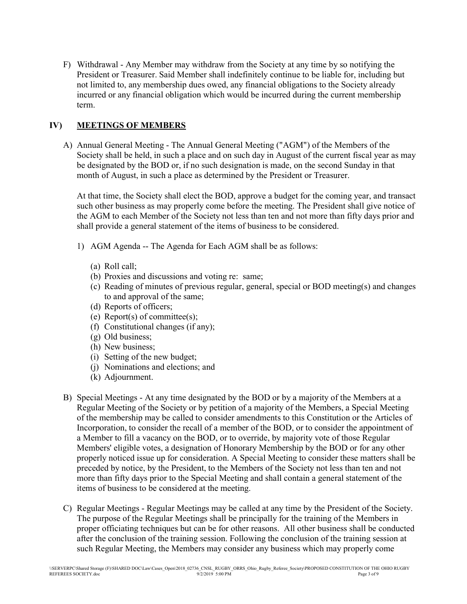F) Withdrawal - Any Member may withdraw from the Society at any time by so notifying the President or Treasurer. Said Member shall indefinitely continue to be liable for, including but not limited to, any membership dues owed, any financial obligations to the Society already incurred or any financial obligation which would be incurred during the current membership term.

## IV) MEETINGS OF MEMBERS

A) Annual General Meeting - The Annual General Meeting ("AGM") of the Members of the Society shall be held, in such a place and on such day in August of the current fiscal year as may be designated by the BOD or, if no such designation is made, on the second Sunday in that month of August, in such a place as determined by the President or Treasurer.

At that time, the Society shall elect the BOD, approve a budget for the coming year, and transact such other business as may properly come before the meeting. The President shall give notice of the AGM to each Member of the Society not less than ten and not more than fifty days prior and shall provide a general statement of the items of business to be considered.

- 1) AGM Agenda -- The Agenda for Each AGM shall be as follows:
	- (a) Roll call;
	- (b) Proxies and discussions and voting re: same;
	- (c) Reading of minutes of previous regular, general, special or BOD meeting(s) and changes to and approval of the same;
	- (d) Reports of officers;
	- (e) Report(s) of committee(s);
	- (f) Constitutional changes (if any);
	- (g) Old business;
	- (h) New business;
	- (i) Setting of the new budget;
	- (j) Nominations and elections; and
	- (k) Adjournment.
- B) Special Meetings At any time designated by the BOD or by a majority of the Members at a Regular Meeting of the Society or by petition of a majority of the Members, a Special Meeting of the membership may be called to consider amendments to this Constitution or the Articles of Incorporation, to consider the recall of a member of the BOD, or to consider the appointment of a Member to fill a vacancy on the BOD, or to override, by majority vote of those Regular Members' eligible votes, a designation of Honorary Membership by the BOD or for any other properly noticed issue up for consideration. A Special Meeting to consider these matters shall be preceded by notice, by the President, to the Members of the Society not less than ten and not more than fifty days prior to the Special Meeting and shall contain a general statement of the items of business to be considered at the meeting.
- C) Regular Meetings Regular Meetings may be called at any time by the President of the Society. The purpose of the Regular Meetings shall be principally for the training of the Members in proper officiating techniques but can be for other reasons. All other business shall be conducted after the conclusion of the training session. Following the conclusion of the training session at such Regular Meeting, the Members may consider any business which may properly come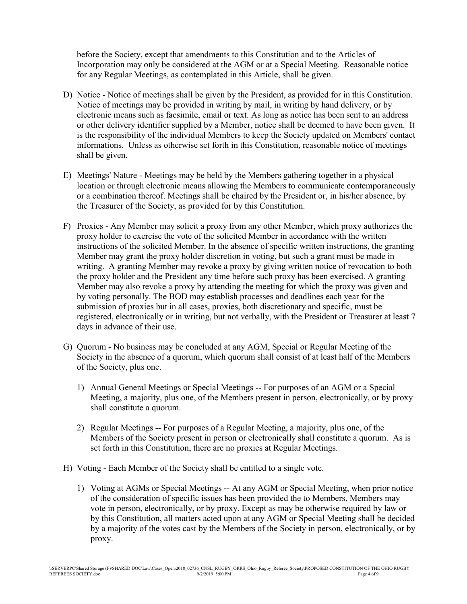before the Society, except that amendments to this Constitution and to the Articles of Incorporation may only be considered at the AGM or at a Special Meeting. Reasonable notice for any Regular Meetings, as contemplated in this Article, shall be given.

- D) Notice Notice of meetings shall be given by the President, as provided for in this Constitution. Notice of meetings may be provided in writing by mail, in writing by hand delivery, or by electronic means such as facsimile, email or text. As long as notice has been sent to an address or other delivery identifier supplied by a Member, notice shall be deemed to have been given. It is the responsibility of the individual Members to keep the Society updated on Members' contact informations. Unless as otherwise set forth in this Constitution, reasonable notice of meetings shall be given.
- E) Meetings' Nature Meetings may be held by the Members gathering together in a physical location or through electronic means allowing the Members to communicate contemporaneously or a combination thereof. Meetings shall be chaired by the President or, in his/her absence, by the Treasurer of the Society, as provided for by this Constitution.
- F) Proxies Any Member may solicit a proxy from any other Member, which proxy authorizes the proxy holder to exercise the vote of the solicited Member in accordance with the written instructions of the solicited Member. In the absence of specific written instructions, the granting Member may grant the proxy holder discretion in voting, but such a grant must be made in writing. A granting Member may revoke a proxy by giving written notice of revocation to both the proxy holder and the President any time before such proxy has been exercised. A granting Member may also revoke a proxy by attending the meeting for which the proxy was given and by voting personally. The BOD may establish processes and deadlines each year for the submission of proxies but in all cases, proxies, both discretionary and specific, must be registered, electronically or in writing, but not verbally, with the President or Treasurer at least 7 days in advance of their use.
- G) Quorum No business may be concluded at any AGM, Special or Regular Meeting of the Society in the absence of a quorum, which quorum shall consist of at least half of the Members of the Society, plus one.
	- 1) Annual General Meetings or Special Meetings -- For purposes of an AGM or a Special Meeting, a majority, plus one, of the Members present in person, electronically, or by proxy shall constitute a quorum.
	- 2) Regular Meetings -- For purposes of a Regular Meeting, a majority, plus one, of the Members of the Society present in person or electronically shall constitute a quorum. As is set forth in this Constitution, there are no proxies at Regular Meetings.
- H) Voting Each Member of the Society shall be entitled to a single vote.
	- 1) Voting at AGMs or Special Meetings -- At any AGM or Special Meeting, when prior notice of the consideration of specific issues has been provided the to Members, Members may vote in person, electronically, or by proxy. Except as may be otherwise required by law or by this Constitution, all matters acted upon at any AGM or Special Meeting shall be decided by a majority of the votes cast by the Members of the Society in person, electronically, or by proxy.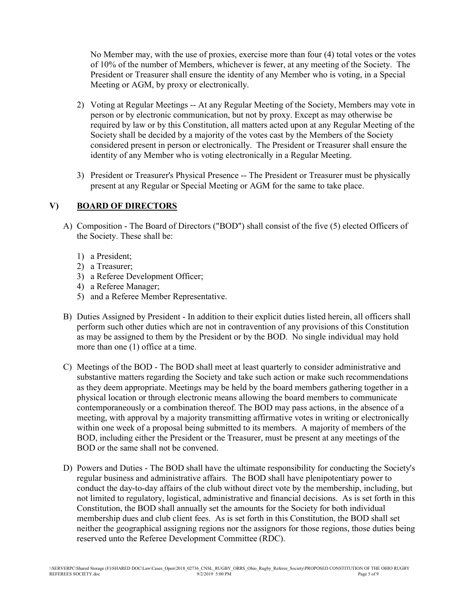No Member may, with the use of proxies, exercise more than four (4) total votes or the votes of 10% of the number of Members, whichever is fewer, at any meeting of the Society. The President or Treasurer shall ensure the identity of any Member who is voting, in a Special Meeting or AGM, by proxy or electronically.

- 2) Voting at Regular Meetings -- At any Regular Meeting of the Society, Members may vote in person or by electronic communication, but not by proxy. Except as may otherwise be required by law or by this Constitution, all matters acted upon at any Regular Meeting of the Society shall be decided by a majority of the votes cast by the Members of the Society considered present in person or electronically. The President or Treasurer shall ensure the identity of any Member who is voting electronically in a Regular Meeting.
- 3) President or Treasurer's Physical Presence -- The President or Treasurer must be physically present at any Regular or Special Meeting or AGM for the same to take place.

## V) BOARD OF DIRECTORS

- A) Composition The Board of Directors ("BOD") shall consist of the five (5) elected Officers of the Society. These shall be:
	- 1) a President;
	- 2) a Treasurer;
	- 3) a Referee Development Officer;
	- 4) a Referee Manager;
	- 5) and a Referee Member Representative.
- B) Duties Assigned by President In addition to their explicit duties listed herein, all officers shall perform such other duties which are not in contravention of any provisions of this Constitution as may be assigned to them by the President or by the BOD. No single individual may hold more than one (1) office at a time.
- C) Meetings of the BOD The BOD shall meet at least quarterly to consider administrative and substantive matters regarding the Society and take such action or make such recommendations as they deem appropriate. Meetings may be held by the board members gathering together in a physical location or through electronic means allowing the board members to communicate contemporaneously or a combination thereof. The BOD may pass actions, in the absence of a meeting, with approval by a majority transmitting affirmative votes in writing or electronically within one week of a proposal being submitted to its members. A majority of members of the BOD, including either the President or the Treasurer, must be present at any meetings of the BOD or the same shall not be convened.
- D) Powers and Duties The BOD shall have the ultimate responsibility for conducting the Society's regular business and administrative affairs. The BOD shall have plenipotentiary power to conduct the day-to-day affairs of the club without direct vote by the membership, including, but not limited to regulatory, logistical, administrative and financial decisions. As is set forth in this Constitution, the BOD shall annually set the amounts for the Society for both individual membership dues and club client fees. As is set forth in this Constitution, the BOD shall set neither the geographical assigning regions nor the assignors for those regions, those duties being reserved unto the Referee Development Committee (RDC).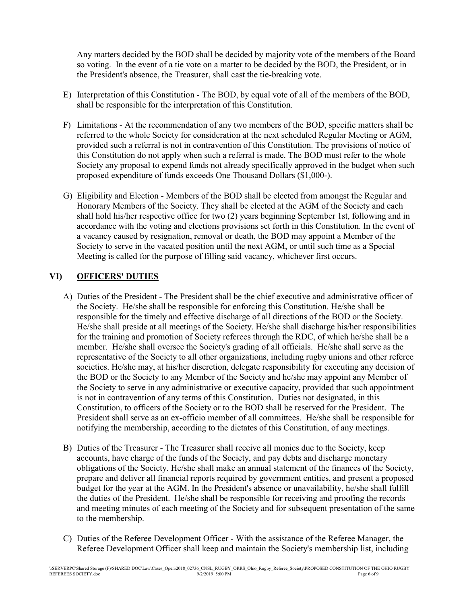Any matters decided by the BOD shall be decided by majority vote of the members of the Board so voting. In the event of a tie vote on a matter to be decided by the BOD, the President, or in the President's absence, the Treasurer, shall cast the tie-breaking vote.

- E) Interpretation of this Constitution The BOD, by equal vote of all of the members of the BOD, shall be responsible for the interpretation of this Constitution.
- F) Limitations At the recommendation of any two members of the BOD, specific matters shall be referred to the whole Society for consideration at the next scheduled Regular Meeting or AGM, provided such a referral is not in contravention of this Constitution. The provisions of notice of this Constitution do not apply when such a referral is made. The BOD must refer to the whole Society any proposal to expend funds not already specifically approved in the budget when such proposed expenditure of funds exceeds One Thousand Dollars (\$1,000-).
- G) Eligibility and Election Members of the BOD shall be elected from amongst the Regular and Honorary Members of the Society. They shall be elected at the AGM of the Society and each shall hold his/her respective office for two (2) years beginning September 1st, following and in accordance with the voting and elections provisions set forth in this Constitution. In the event of a vacancy caused by resignation, removal or death, the BOD may appoint a Member of the Society to serve in the vacated position until the next AGM, or until such time as a Special Meeting is called for the purpose of filling said vacancy, whichever first occurs.

# VI) OFFICERS' DUTIES

- A) Duties of the President The President shall be the chief executive and administrative officer of the Society. He/she shall be responsible for enforcing this Constitution. He/she shall be responsible for the timely and effective discharge of all directions of the BOD or the Society. He/she shall preside at all meetings of the Society. He/she shall discharge his/her responsibilities for the training and promotion of Society referees through the RDC, of which he/she shall be a member. He/she shall oversee the Society's grading of all officials. He/she shall serve as the representative of the Society to all other organizations, including rugby unions and other referee societies. He/she may, at his/her discretion, delegate responsibility for executing any decision of the BOD or the Society to any Member of the Society and he/she may appoint any Member of the Society to serve in any administrative or executive capacity, provided that such appointment is not in contravention of any terms of this Constitution. Duties not designated, in this Constitution, to officers of the Society or to the BOD shall be reserved for the President. The President shall serve as an ex-officio member of all committees. He/she shall be responsible for notifying the membership, according to the dictates of this Constitution, of any meetings.
- B) Duties of the Treasurer The Treasurer shall receive all monies due to the Society, keep accounts, have charge of the funds of the Society, and pay debts and discharge monetary obligations of the Society. He/she shall make an annual statement of the finances of the Society, prepare and deliver all financial reports required by government entities, and present a proposed budget for the year at the AGM. In the President's absence or unavailability, he/she shall fulfill the duties of the President. He/she shall be responsible for receiving and proofing the records and meeting minutes of each meeting of the Society and for subsequent presentation of the same to the membership.
- C) Duties of the Referee Development Officer With the assistance of the Referee Manager, the Referee Development Officer shall keep and maintain the Society's membership list, including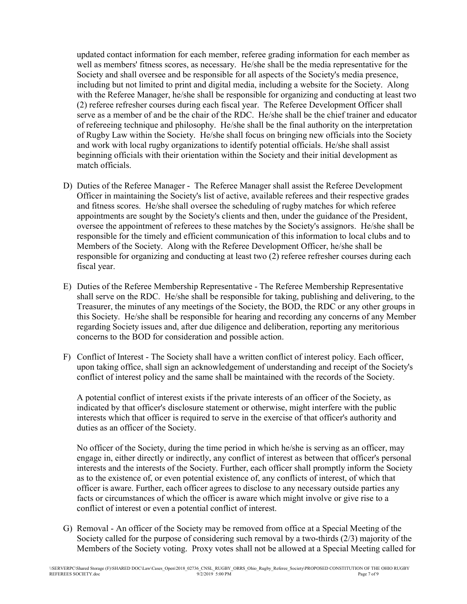updated contact information for each member, referee grading information for each member as well as members' fitness scores, as necessary. He/she shall be the media representative for the Society and shall oversee and be responsible for all aspects of the Society's media presence, including but not limited to print and digital media, including a website for the Society. Along with the Referee Manager, he/she shall be responsible for organizing and conducting at least two (2) referee refresher courses during each fiscal year. The Referee Development Officer shall serve as a member of and be the chair of the RDC. He/she shall be the chief trainer and educator of refereeing technique and philosophy. He/she shall be the final authority on the interpretation of Rugby Law within the Society. He/she shall focus on bringing new officials into the Society and work with local rugby organizations to identify potential officials. He/she shall assist beginning officials with their orientation within the Society and their initial development as match officials.

- D) Duties of the Referee Manager The Referee Manager shall assist the Referee Development Officer in maintaining the Society's list of active, available referees and their respective grades and fitness scores. He/she shall oversee the scheduling of rugby matches for which referee appointments are sought by the Society's clients and then, under the guidance of the President, oversee the appointment of referees to these matches by the Society's assignors. He/she shall be responsible for the timely and efficient communication of this information to local clubs and to Members of the Society. Along with the Referee Development Officer, he/she shall be responsible for organizing and conducting at least two (2) referee refresher courses during each fiscal year.
- E) Duties of the Referee Membership Representative The Referee Membership Representative shall serve on the RDC. He/she shall be responsible for taking, publishing and delivering, to the Treasurer, the minutes of any meetings of the Society, the BOD, the RDC or any other groups in this Society. He/she shall be responsible for hearing and recording any concerns of any Member regarding Society issues and, after due diligence and deliberation, reporting any meritorious concerns to the BOD for consideration and possible action.
- F) Conflict of Interest The Society shall have a written conflict of interest policy. Each officer, upon taking office, shall sign an acknowledgement of understanding and receipt of the Society's conflict of interest policy and the same shall be maintained with the records of the Society.

A potential conflict of interest exists if the private interests of an officer of the Society, as indicated by that officer's disclosure statement or otherwise, might interfere with the public interests which that officer is required to serve in the exercise of that officer's authority and duties as an officer of the Society.

No officer of the Society, during the time period in which he/she is serving as an officer, may engage in, either directly or indirectly, any conflict of interest as between that officer's personal interests and the interests of the Society. Further, each officer shall promptly inform the Society as to the existence of, or even potential existence of, any conflicts of interest, of which that officer is aware. Further, each officer agrees to disclose to any necessary outside parties any facts or circumstances of which the officer is aware which might involve or give rise to a conflict of interest or even a potential conflict of interest.

G) Removal - An officer of the Society may be removed from office at a Special Meeting of the Society called for the purpose of considering such removal by a two-thirds (2/3) majority of the Members of the Society voting. Proxy votes shall not be allowed at a Special Meeting called for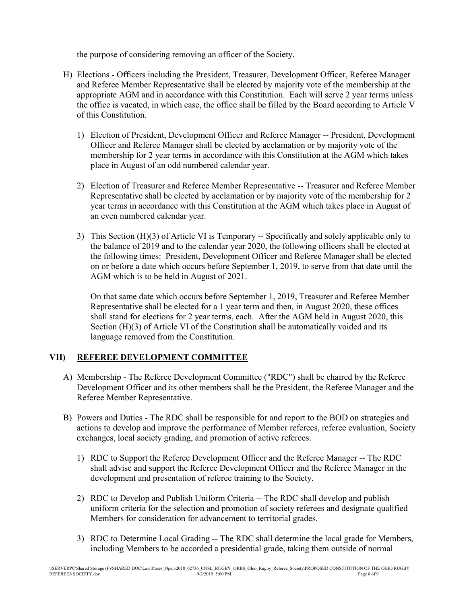the purpose of considering removing an officer of the Society.

- H) Elections Officers including the President, Treasurer, Development Officer, Referee Manager and Referee Member Representative shall be elected by majority vote of the membership at the appropriate AGM and in accordance with this Constitution. Each will serve 2 year terms unless the office is vacated, in which case, the office shall be filled by the Board according to Article V of this Constitution.
	- 1) Election of President, Development Officer and Referee Manager -- President, Development Officer and Referee Manager shall be elected by acclamation or by majority vote of the membership for 2 year terms in accordance with this Constitution at the AGM which takes place in August of an odd numbered calendar year.
	- 2) Election of Treasurer and Referee Member Representative -- Treasurer and Referee Member Representative shall be elected by acclamation or by majority vote of the membership for 2 year terms in accordance with this Constitution at the AGM which takes place in August of an even numbered calendar year.
	- 3) This Section (H)(3) of Article VI is Temporary -- Specifically and solely applicable only to the balance of 2019 and to the calendar year 2020, the following officers shall be elected at the following times: President, Development Officer and Referee Manager shall be elected on or before a date which occurs before September 1, 2019, to serve from that date until the AGM which is to be held in August of 2021.

On that same date which occurs before September 1, 2019, Treasurer and Referee Member Representative shall be elected for a 1 year term and then, in August 2020, these offices shall stand for elections for 2 year terms, each. After the AGM held in August 2020, this Section (H)(3) of Article VI of the Constitution shall be automatically voided and its language removed from the Constitution.

#### VII) REFEREE DEVELOPMENT COMMITTEE

- A) Membership The Referee Development Committee ("RDC") shall be chaired by the Referee Development Officer and its other members shall be the President, the Referee Manager and the Referee Member Representative.
- B) Powers and Duties The RDC shall be responsible for and report to the BOD on strategies and actions to develop and improve the performance of Member referees, referee evaluation, Society exchanges, local society grading, and promotion of active referees.
	- 1) RDC to Support the Referee Development Officer and the Referee Manager -- The RDC shall advise and support the Referee Development Officer and the Referee Manager in the development and presentation of referee training to the Society.
	- 2) RDC to Develop and Publish Uniform Criteria -- The RDC shall develop and publish uniform criteria for the selection and promotion of society referees and designate qualified Members for consideration for advancement to territorial grades.
	- 3) RDC to Determine Local Grading -- The RDC shall determine the local grade for Members, including Members to be accorded a presidential grade, taking them outside of normal